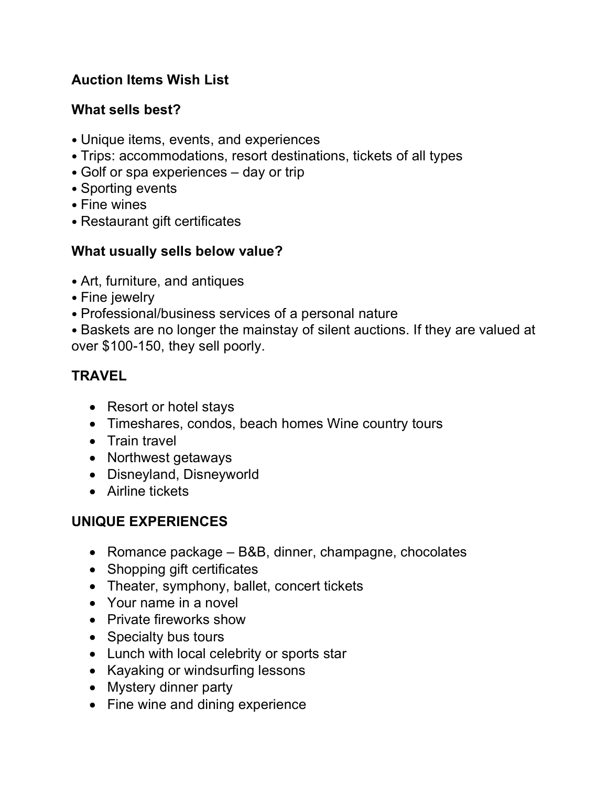# **Auction Items Wish List**

## **What sells best?**

- Unique items, events, and experiences
- Trips: accommodations, resort destinations, tickets of all types
- Golf or spa experiences day or trip
- Sporting events
- Fine wines
- Restaurant gift certificates

## **What usually sells below value?**

- Art, furniture, and antiques
- Fine jewelry
- • Professional/business services of a personal nature
- Baskets are no longer the mainstay of silent auctions. If they are valued at over \$100-150, they sell poorly.

# **TRAVEL**

- Resort or hotel stays
- Timeshares, condos, beach homes Wine country tours
- Train travel
- Northwest getaways
- Disneyland, Disneyworld
- Airline tickets

# **UNIQUE EXPERIENCES**

- Romance package B&B, dinner, champagne, chocolates
- Shopping gift certificates
- Theater, symphony, ballet, concert tickets
- Your name in a novel
- Private fireworks show
- Specialty bus tours
- Lunch with local celebrity or sports star
- Kayaking or windsurfing lessons
- Mystery dinner party
- Fine wine and dining experience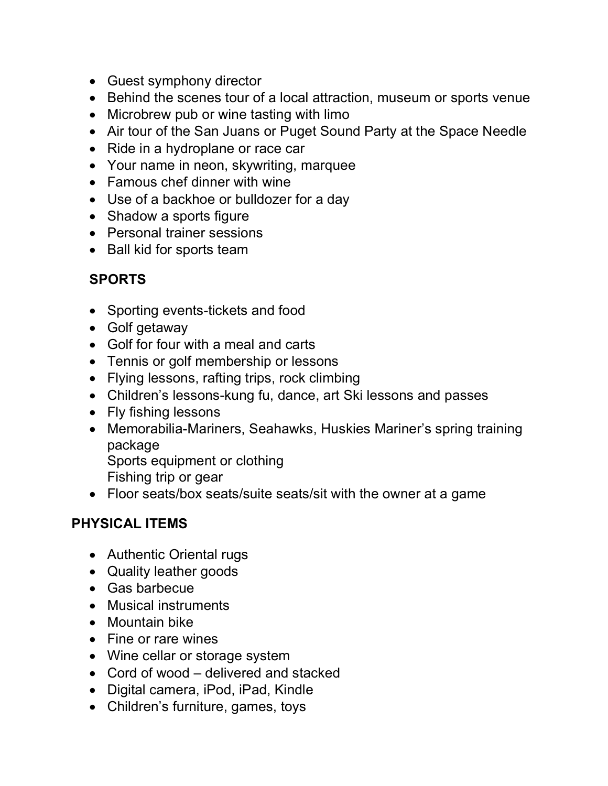- Guest symphony director
- Behind the scenes tour of a local attraction, museum or sports venue
- Microbrew pub or wine tasting with limo
- Air tour of the San Juans or Puget Sound Party at the Space Needle
- Ride in a hydroplane or race car
- Your name in neon, skywriting, marquee
- Famous chef dinner with wine
- Use of a backhoe or bulldozer for a day
- Shadow a sports figure
- Personal trainer sessions
- Ball kid for sports team

## **SPORTS**

- Sporting events-tickets and food
- Golf getaway
- Golf for four with a meal and carts
- Tennis or golf membership or lessons
- Flying lessons, rafting trips, rock climbing
- Children's lessons-kung fu, dance, art Ski lessons and passes
- Fly fishing lessons
- Memorabilia-Mariners, Seahawks, Huskies Mariner's spring training package

Sports equipment or clothing

- Fishing trip or gear
- Floor seats/box seats/suite seats/sit with the owner at a game

#### **PHYSICAL ITEMS**

- Authentic Oriental rugs
- Quality leather goods
- Gas barbecue
- Musical instruments
- Mountain bike
- Fine or rare wines
- Wine cellar or storage system
- Cord of wood delivered and stacked
- Digital camera, iPod, iPad, Kindle
- Children's furniture, games, toys